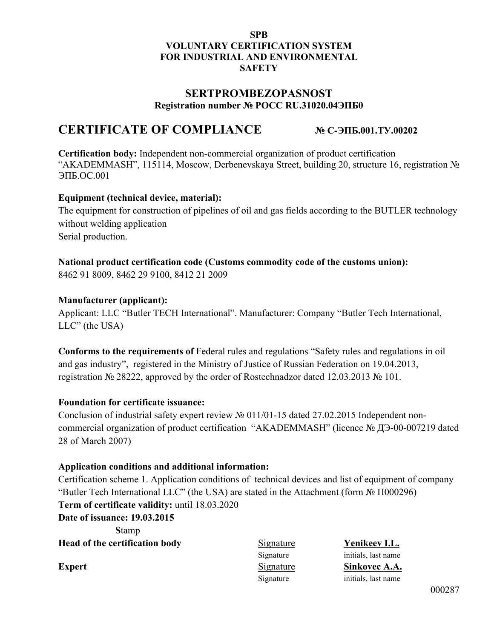#### **SPB VOLUNTARY CERTIFICATION SYSTEM FOR INDUSTRIAL AND ENVIRONMENTAL SAFETY**

### **SERTPROMBEZOPASNOST Registration number № РОСС RU.31020.04ЭПБ0**

# **CERTIFICATE OF COMPLIANCE № С-ЭПБ.001.ТУ.00202**

**Certification body:** Independent non-commercial organization of product certification "AKADEMMASH", 115114, Moscow, Derbenevskaya Street, building 20, structure 16, registration № ЭПБ.ОС.001

#### **Equipment (technical device, material):**

The equipment for construction of pipelines of oil and gas fields according to the BUTLER technology without welding application Serial production.

#### **National product certification code (Customs commodity code of the customs union):**

8462 91 8009, 8462 29 9100, 8412 21 2009

#### **Manufacturer (applicant):**

Applicant: LLC "Butler TECH International". Manufacturer: Company "Butler Tech International, LLC" (the USA)

**Conforms to the requirements of** Federal rules and regulations "Safety rules and regulations in oil and gas industry", registered in the Ministry of Justice of Russian Federation on 19.04.2013, registration № 28222, approved by the order of Rostechnadzor dated 12.03.2013 № 101.

#### **Foundation for certificate issuance:**

Conclusion of industrial safety expert review № 011/01-15 dated 27.02.2015 Independent noncommercial organization of product certification "AKADEMMASH" (licence № ДЭ-00-007219 dated 28 of March 2007)

#### **Application conditions and additional information:**

Certification scheme 1. Application conditions of technical devices and list of equipment of company "Butler Tech International LLC" (the USA) are stated in the Attachment (form № П000296) **Term of certificate validity:** until 18.03.2020

**Date of issuance: 19.03.2015**

**S**tamp **Head of the certification body** Signature **Yenikeev I.L.**

Signature initials, last name **Expert** Signature Sinkovec A.A. Signature initials, last name